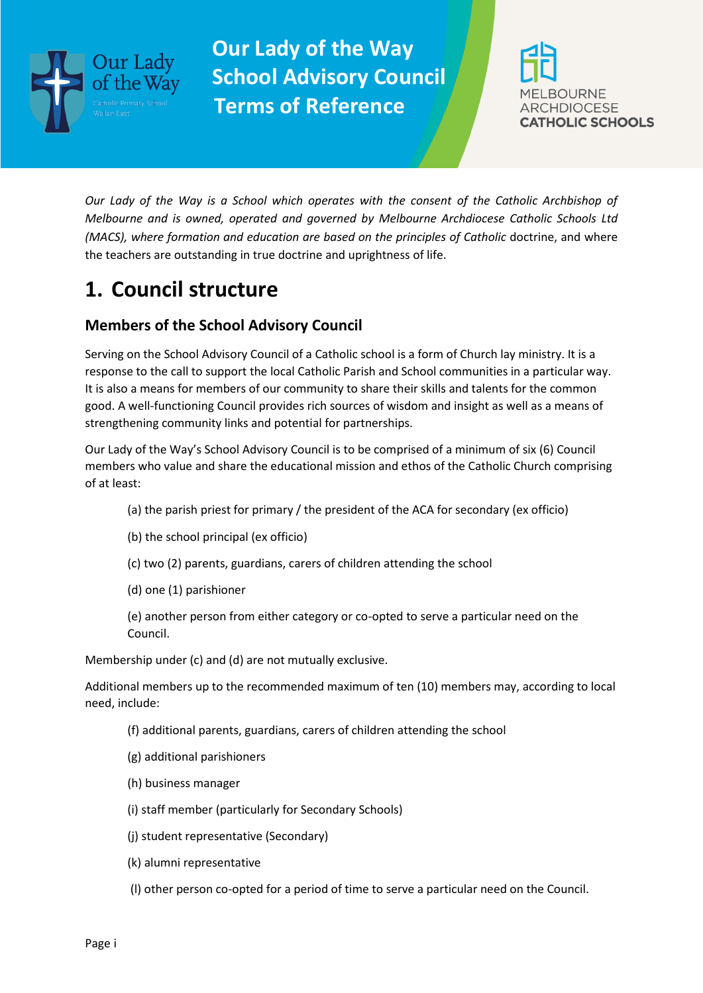



*Our Lady of the Way is a School which operates with the consent of the Catholic Archbishop of Melbourne and is owned, operated and governed by Melbourne Archdiocese Catholic Schools Ltd (MACS), where formation and education are based on the principles of Catholic doctrine, and where* the teachers are outstanding in true doctrine and uprightness of life.

# **1. Council structure**

### **Members of the School Advisory Council**

Serving on the School Advisory Council of a Catholic school is a form of Church lay ministry. It is a response to the call to support the local Catholic Parish and School communities in a particular way. It is also a means for members of our community to share their skills and talents for the common good. A well-functioning Council provides rich sources of wisdom and insight as well as a means of strengthening community links and potential for partnerships.

Our Lady of the Way's School Advisory Council is to be comprised of a minimum of six (6) Council members who value and share the educational mission and ethos of the Catholic Church comprising of at least:

- (a) the parish priest for primary / the president of the ACA for secondary (ex officio)
- (b) the school principal (ex officio)
- (c) two (2) parents, guardians, carers of children attending the school
- (d) one (1) parishioner
- (e) another person from either category or co-opted to serve a particular need on the Council.

Membership under (c) and (d) are not mutually exclusive.

Additional members up to the recommended maximum of ten (10) members may, according to local need, include:

- (f) additional parents, guardians, carers of children attending the school
- (g) additional parishioners
- (h) business manager
- (i) staff member (particularly for Secondary Schools)
- (j) student representative (Secondary)
- (k) alumni representative
- (l) other person co-opted for a period of time to serve a particular need on the Council.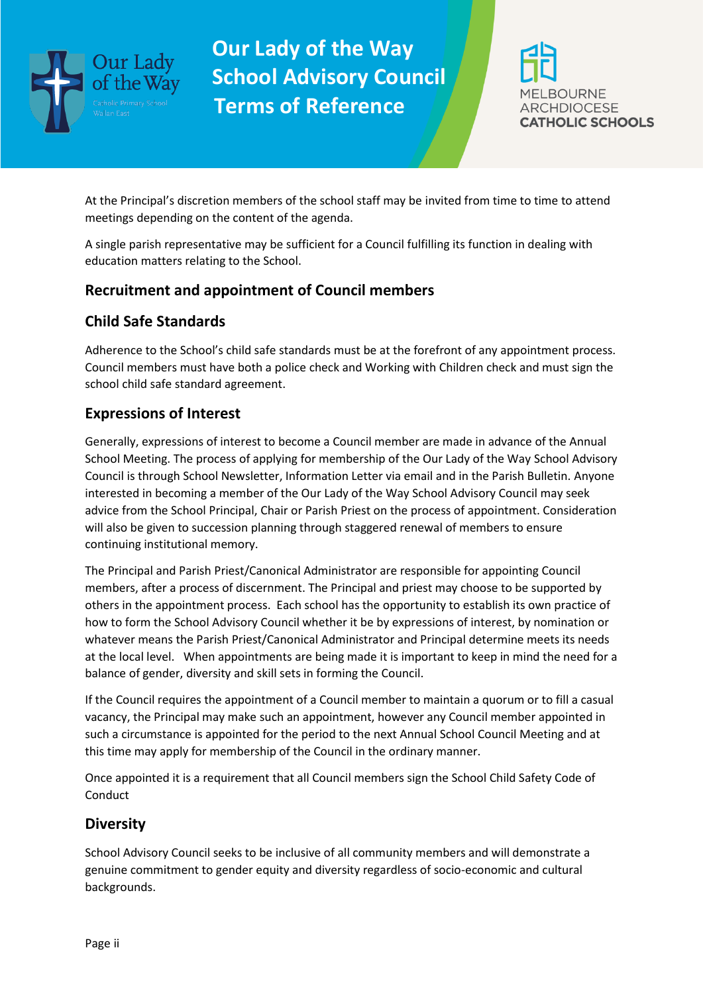



At the Principal's discretion members of the school staff may be invited from time to time to attend meetings depending on the content of the agenda.

A single parish representative may be sufficient for a Council fulfilling its function in dealing with education matters relating to the School.

#### **Recruitment and appointment of Council members**

### **Child Safe Standards**

Adherence to the School's child safe standards must be at the forefront of any appointment process. Council members must have both a police check and Working with Children check and must sign the school child safe standard agreement.

### **Expressions of Interest**

Generally, expressions of interest to become a Council member are made in advance of the Annual School Meeting. The process of applying for membership of the Our Lady of the Way School Advisory Council is through School Newsletter, Information Letter via email and in the Parish Bulletin. Anyone interested in becoming a member of the Our Lady of the Way School Advisory Council may seek advice from the School Principal, Chair or Parish Priest on the process of appointment. Consideration will also be given to succession planning through staggered renewal of members to ensure continuing institutional memory.

The Principal and Parish Priest/Canonical Administrator are responsible for appointing Council members, after a process of discernment. The Principal and priest may choose to be supported by others in the appointment process. Each school has the opportunity to establish its own practice of how to form the School Advisory Council whether it be by expressions of interest, by nomination or whatever means the Parish Priest/Canonical Administrator and Principal determine meets its needs at the local level. When appointments are being made it is important to keep in mind the need for a balance of gender, diversity and skill sets in forming the Council.

If the Council requires the appointment of a Council member to maintain a quorum or to fill a casual vacancy, the Principal may make such an appointment, however any Council member appointed in such a circumstance is appointed for the period to the next Annual School Council Meeting and at this time may apply for membership of the Council in the ordinary manner.

Once appointed it is a requirement that all Council members sign the School Child Safety Code of Conduct

#### **Diversity**

School Advisory Council seeks to be inclusive of all community members and will demonstrate a genuine commitment to gender equity and diversity regardless of socio-economic and cultural backgrounds.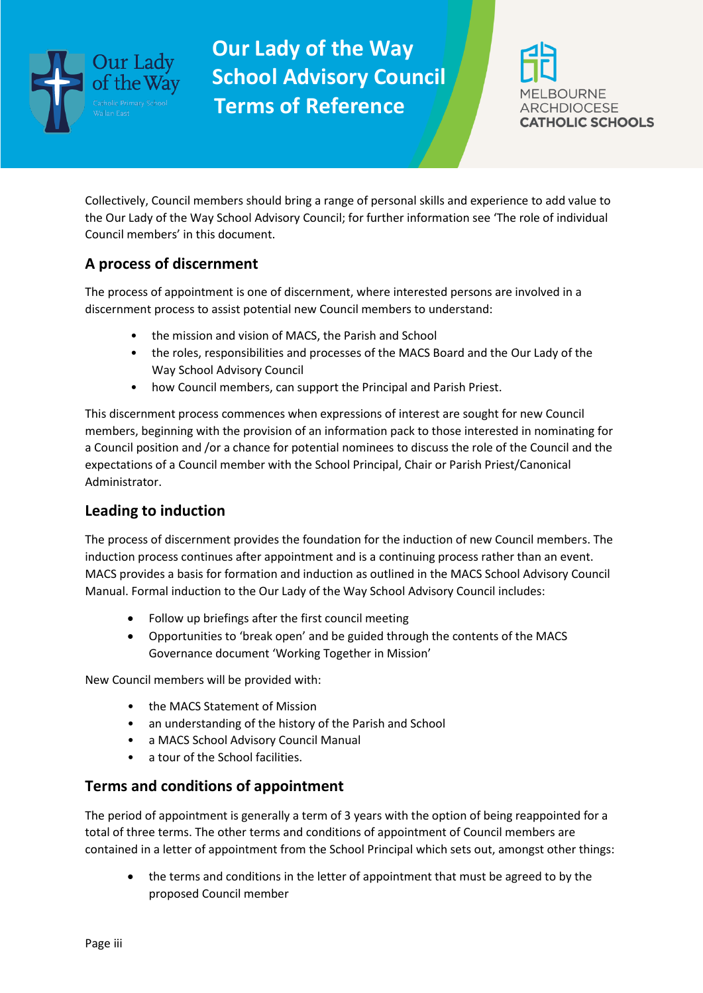



Collectively, Council members should bring a range of personal skills and experience to add value to the Our Lady of the Way School Advisory Council; for further information see 'The role of individual Council members' in this document.

#### **A process of discernment**

The process of appointment is one of discernment, where interested persons are involved in a discernment process to assist potential new Council members to understand:

- the mission and vision of MACS, the Parish and School
- the roles, responsibilities and processes of the MACS Board and the Our Lady of the Way School Advisory Council
- how Council members, can support the Principal and Parish Priest.

This discernment process commences when expressions of interest are sought for new Council members, beginning with the provision of an information pack to those interested in nominating for a Council position and /or a chance for potential nominees to discuss the role of the Council and the expectations of a Council member with the School Principal, Chair or Parish Priest/Canonical Administrator.

#### **Leading to induction**

The process of discernment provides the foundation for the induction of new Council members. The induction process continues after appointment and is a continuing process rather than an event. MACS provides a basis for formation and induction as outlined in the MACS School Advisory Council Manual. Formal induction to the Our Lady of the Way School Advisory Council includes:

- Follow up briefings after the first council meeting
- Opportunities to 'break open' and be guided through the contents of the MACS Governance document 'Working Together in Mission'

New Council members will be provided with:

- the MACS Statement of Mission
- an understanding of the history of the Parish and School
- a MACS School Advisory Council Manual
- a tour of the School facilities.

#### **Terms and conditions of appointment**

The period of appointment is generally a term of 3 years with the option of being reappointed for a total of three terms. The other terms and conditions of appointment of Council members are contained in a letter of appointment from the School Principal which sets out, amongst other things:

• the terms and conditions in the letter of appointment that must be agreed to by the proposed Council member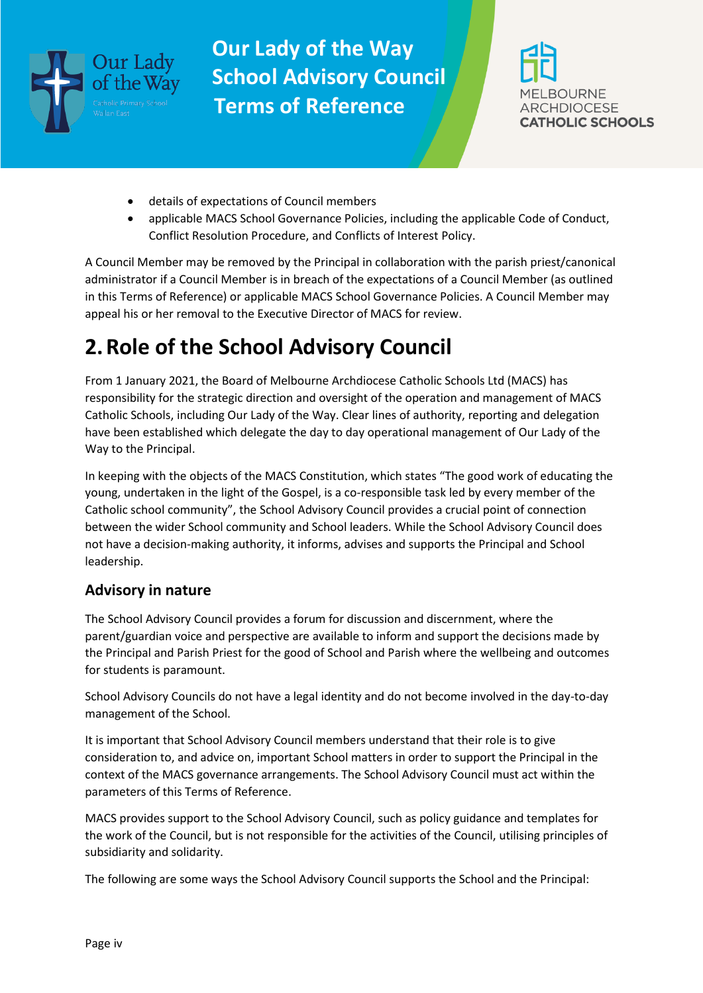



- details of expectations of Council members
- applicable MACS School Governance Policies, including the applicable Code of Conduct, Conflict Resolution Procedure, and Conflicts of Interest Policy.

A Council Member may be removed by the Principal in collaboration with the parish priest/canonical administrator if a Council Member is in breach of the expectations of a Council Member (as outlined in this Terms of Reference) or applicable MACS School Governance Policies. A Council Member may appeal his or her removal to the Executive Director of MACS for review.

# **2.Role of the School Advisory Council**

From 1 January 2021, the Board of Melbourne Archdiocese Catholic Schools Ltd (MACS) has responsibility for the strategic direction and oversight of the operation and management of MACS Catholic Schools, including Our Lady of the Way. Clear lines of authority, reporting and delegation have been established which delegate the day to day operational management of Our Lady of the Way to the Principal.

In keeping with the objects of the MACS Constitution, which states "The good work of educating the young, undertaken in the light of the Gospel, is a co-responsible task led by every member of the Catholic school community", the School Advisory Council provides a crucial point of connection between the wider School community and School leaders. While the School Advisory Council does not have a decision-making authority, it informs, advises and supports the Principal and School leadership.

#### **Advisory in nature**

The School Advisory Council provides a forum for discussion and discernment, where the parent/guardian voice and perspective are available to inform and support the decisions made by the Principal and Parish Priest for the good of School and Parish where the wellbeing and outcomes for students is paramount.

School Advisory Councils do not have a legal identity and do not become involved in the day-to-day management of the School.

It is important that School Advisory Council members understand that their role is to give consideration to, and advice on, important School matters in order to support the Principal in the context of the MACS governance arrangements. The School Advisory Council must act within the parameters of this Terms of Reference.

MACS provides support to the School Advisory Council, such as policy guidance and templates for the work of the Council, but is not responsible for the activities of the Council, utilising principles of subsidiarity and solidarity.

The following are some ways the School Advisory Council supports the School and the Principal: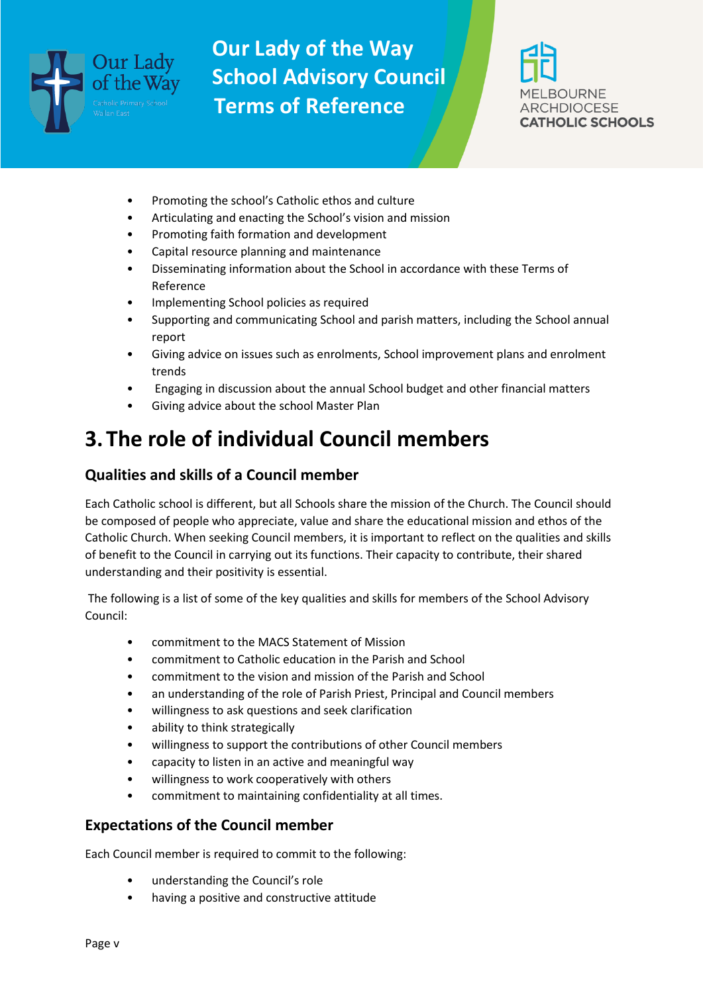



- Promoting the school's Catholic ethos and culture
- Articulating and enacting the School's vision and mission
- Promoting faith formation and development
- Capital resource planning and maintenance
- Disseminating information about the School in accordance with these Terms of Reference
- Implementing School policies as required
- Supporting and communicating School and parish matters, including the School annual report
- Giving advice on issues such as enrolments, School improvement plans and enrolment trends
- Engaging in discussion about the annual School budget and other financial matters
- Giving advice about the school Master Plan

## **3.The role of individual Council members**

#### **Qualities and skills of a Council member**

Each Catholic school is different, but all Schools share the mission of the Church. The Council should be composed of people who appreciate, value and share the educational mission and ethos of the Catholic Church. When seeking Council members, it is important to reflect on the qualities and skills of benefit to the Council in carrying out its functions. Their capacity to contribute, their shared understanding and their positivity is essential.

The following is a list of some of the key qualities and skills for members of the School Advisory Council:

- commitment to the MACS Statement of Mission
- commitment to Catholic education in the Parish and School
- commitment to the vision and mission of the Parish and School
- an understanding of the role of Parish Priest, Principal and Council members
- willingness to ask questions and seek clarification
- ability to think strategically
- willingness to support the contributions of other Council members
- capacity to listen in an active and meaningful way
- willingness to work cooperatively with others
- commitment to maintaining confidentiality at all times.

#### **Expectations of the Council member**

Each Council member is required to commit to the following:

- understanding the Council's role
- having a positive and constructive attitude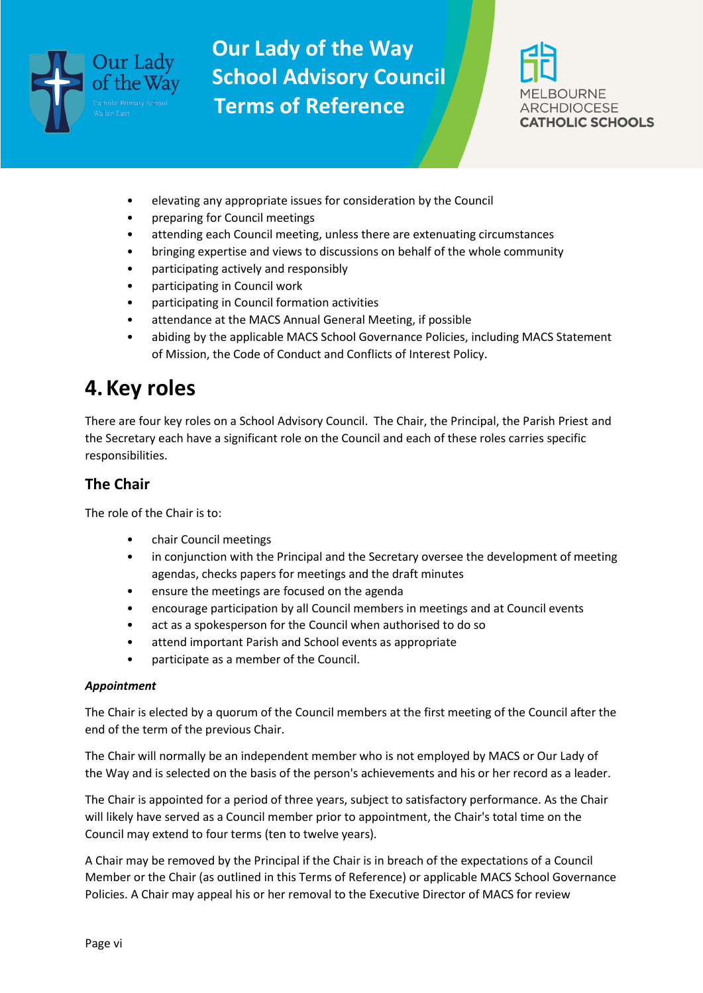



- elevating any appropriate issues for consideration by the Council
- preparing for Council meetings
- attending each Council meeting, unless there are extenuating circumstances
- bringing expertise and views to discussions on behalf of the whole community
- participating actively and responsibly
- participating in Council work
- participating in Council formation activities
- attendance at the MACS Annual General Meeting, if possible
- abiding by the applicable MACS School Governance Policies, including MACS Statement of Mission, the Code of Conduct and Conflicts of Interest Policy.

### **4.Key roles**

There are four key roles on a School Advisory Council. The Chair, the Principal, the Parish Priest and the Secretary each have a significant role on the Council and each of these roles carries specific responsibilities.

#### **The Chair**

The role of the Chair is to:

- chair Council meetings
- in conjunction with the Principal and the Secretary oversee the development of meeting agendas, checks papers for meetings and the draft minutes
- ensure the meetings are focused on the agenda
- encourage participation by all Council members in meetings and at Council events
- act as a spokesperson for the Council when authorised to do so
- attend important Parish and School events as appropriate
- participate as a member of the Council.

#### *Appointment*

The Chair is elected by a quorum of the Council members at the first meeting of the Council after the end of the term of the previous Chair.

The Chair will normally be an independent member who is not employed by MACS or Our Lady of the Way and is selected on the basis of the person's achievements and his or her record as a leader.

The Chair is appointed for a period of three years, subject to satisfactory performance. As the Chair will likely have served as a Council member prior to appointment, the Chair's total time on the Council may extend to four terms (ten to twelve years).

A Chair may be removed by the Principal if the Chair is in breach of the expectations of a Council Member or the Chair (as outlined in this Terms of Reference) or applicable MACS School Governance Policies. A Chair may appeal his or her removal to the Executive Director of MACS for review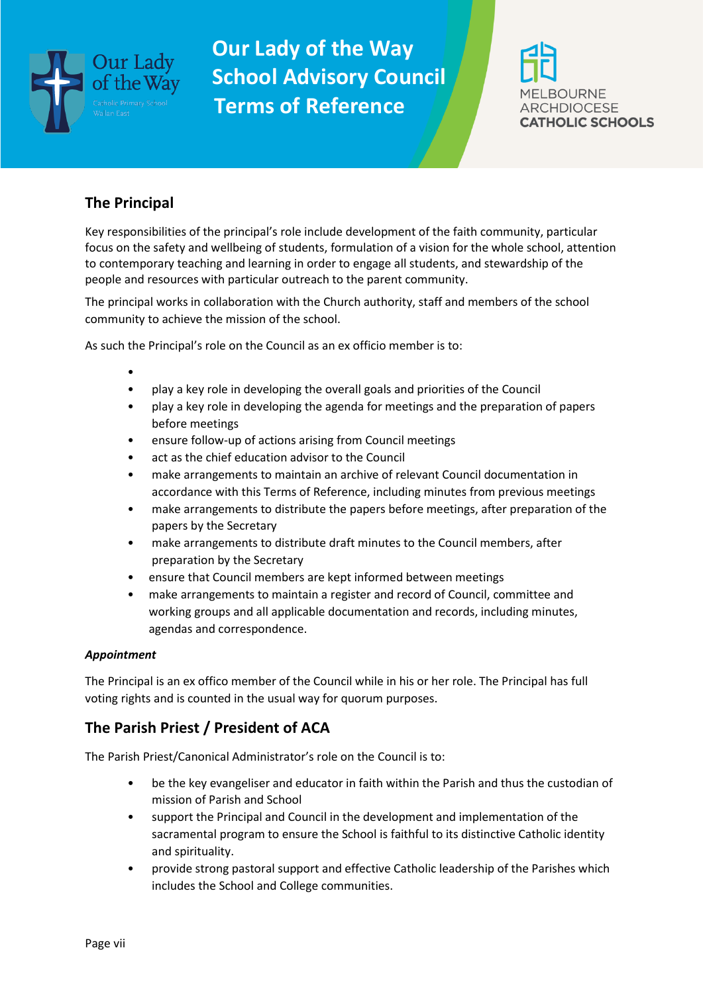



#### **The Principal**

Key responsibilities of the principal's role include development of the faith community, particular focus on the safety and wellbeing of students, formulation of a vision for the whole school, attention to contemporary teaching and learning in order to engage all students, and stewardship of the people and resources with particular outreach to the parent community.

The principal works in collaboration with the Church authority, staff and members of the school community to achieve the mission of the school.

As such the Principal's role on the Council as an ex officio member is to:

- •
- play a key role in developing the overall goals and priorities of the Council
- play a key role in developing the agenda for meetings and the preparation of papers before meetings
- ensure follow-up of actions arising from Council meetings
- act as the chief education advisor to the Council
- make arrangements to maintain an archive of relevant Council documentation in accordance with this Terms of Reference, including minutes from previous meetings
- make arrangements to distribute the papers before meetings, after preparation of the papers by the Secretary
- make arrangements to distribute draft minutes to the Council members, after preparation by the Secretary
- ensure that Council members are kept informed between meetings
- make arrangements to maintain a register and record of Council, committee and working groups and all applicable documentation and records, including minutes, agendas and correspondence.

#### *Appointment*

The Principal is an ex offico member of the Council while in his or her role. The Principal has full voting rights and is counted in the usual way for quorum purposes.

#### **The Parish Priest / President of ACA**

The Parish Priest/Canonical Administrator's role on the Council is to:

- be the key evangeliser and educator in faith within the Parish and thus the custodian of mission of Parish and School
- support the Principal and Council in the development and implementation of the sacramental program to ensure the School is faithful to its distinctive Catholic identity and spirituality.
- provide strong pastoral support and effective Catholic leadership of the Parishes which includes the School and College communities.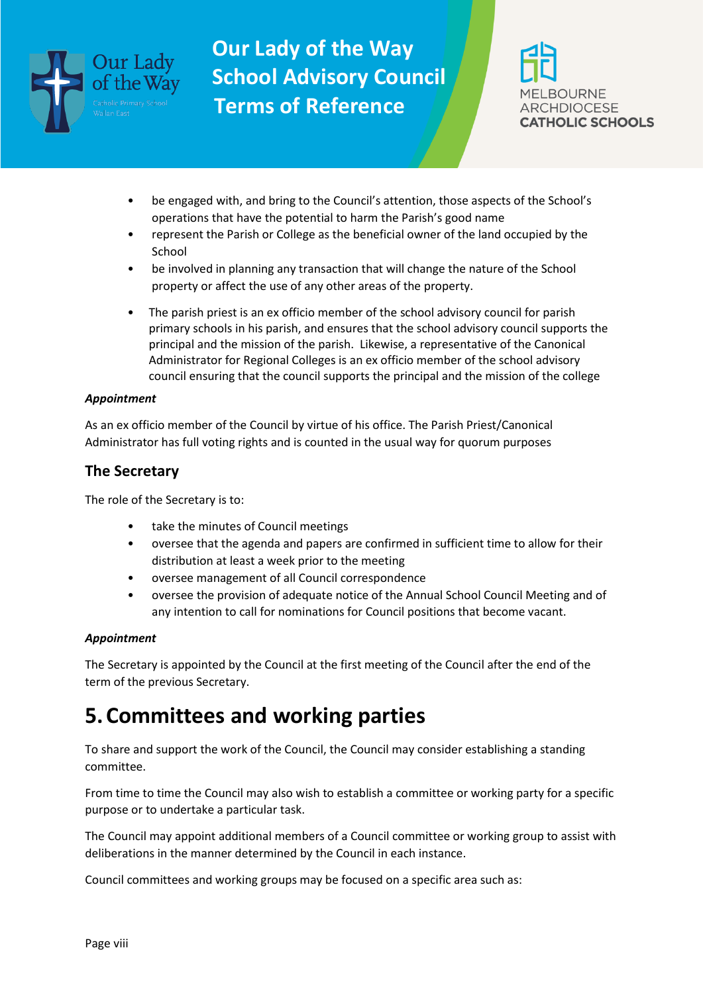



- be engaged with, and bring to the Council's attention, those aspects of the School's operations that have the potential to harm the Parish's good name
- represent the Parish or College as the beneficial owner of the land occupied by the School
- be involved in planning any transaction that will change the nature of the School property or affect the use of any other areas of the property.
- The parish priest is an ex officio member of the school advisory council for parish primary schools in his parish, and ensures that the school advisory council supports the principal and the mission of the parish. Likewise, a representative of the Canonical Administrator for Regional Colleges is an ex officio member of the school advisory council ensuring that the council supports the principal and the mission of the college

#### *Appointment*

As an ex officio member of the Council by virtue of his office. The Parish Priest/Canonical Administrator has full voting rights and is counted in the usual way for quorum purposes

#### **The Secretary**

The role of the Secretary is to:

- take the minutes of Council meetings
- oversee that the agenda and papers are confirmed in sufficient time to allow for their distribution at least a week prior to the meeting
- oversee management of all Council correspondence
- oversee the provision of adequate notice of the Annual School Council Meeting and of any intention to call for nominations for Council positions that become vacant.

#### *Appointment*

The Secretary is appointed by the Council at the first meeting of the Council after the end of the term of the previous Secretary.

### **5.Committees and working parties**

To share and support the work of the Council, the Council may consider establishing a standing committee.

From time to time the Council may also wish to establish a committee or working party for a specific purpose or to undertake a particular task.

The Council may appoint additional members of a Council committee or working group to assist with deliberations in the manner determined by the Council in each instance.

Council committees and working groups may be focused on a specific area such as: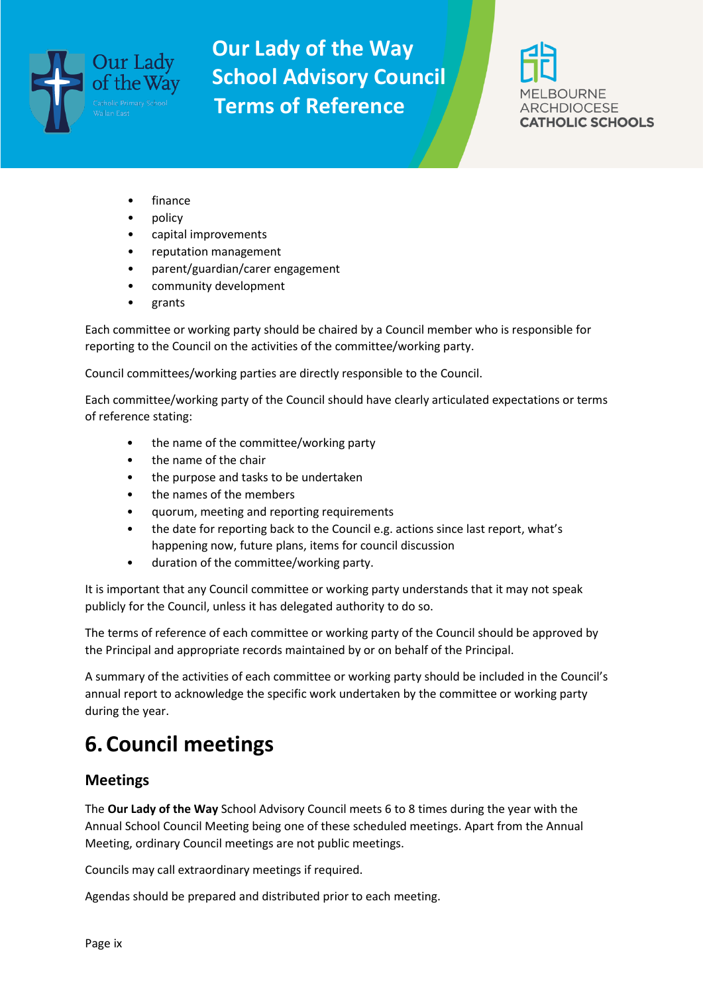

**BOURNE ARCHDIOCESE CATHOLIC SCHOOLS** 

- finance
- policy
- capital improvements
- reputation management
- parent/guardian/carer engagement
- community development
- grants

Each committee or working party should be chaired by a Council member who is responsible for reporting to the Council on the activities of the committee/working party.

Council committees/working parties are directly responsible to the Council.

Each committee/working party of the Council should have clearly articulated expectations or terms of reference stating:

- the name of the committee/working party
- the name of the chair
- the purpose and tasks to be undertaken
- the names of the members
- quorum, meeting and reporting requirements
- the date for reporting back to the Council e.g. actions since last report, what's happening now, future plans, items for council discussion
- duration of the committee/working party.

It is important that any Council committee or working party understands that it may not speak publicly for the Council, unless it has delegated authority to do so.

The terms of reference of each committee or working party of the Council should be approved by the Principal and appropriate records maintained by or on behalf of the Principal.

A summary of the activities of each committee or working party should be included in the Council's annual report to acknowledge the specific work undertaken by the committee or working party during the year.

# **6.Council meetings**

#### **Meetings**

The **Our Lady of the Way** School Advisory Council meets 6 to 8 times during the year with the Annual School Council Meeting being one of these scheduled meetings. Apart from the Annual Meeting, ordinary Council meetings are not public meetings.

Councils may call extraordinary meetings if required.

Agendas should be prepared and distributed prior to each meeting.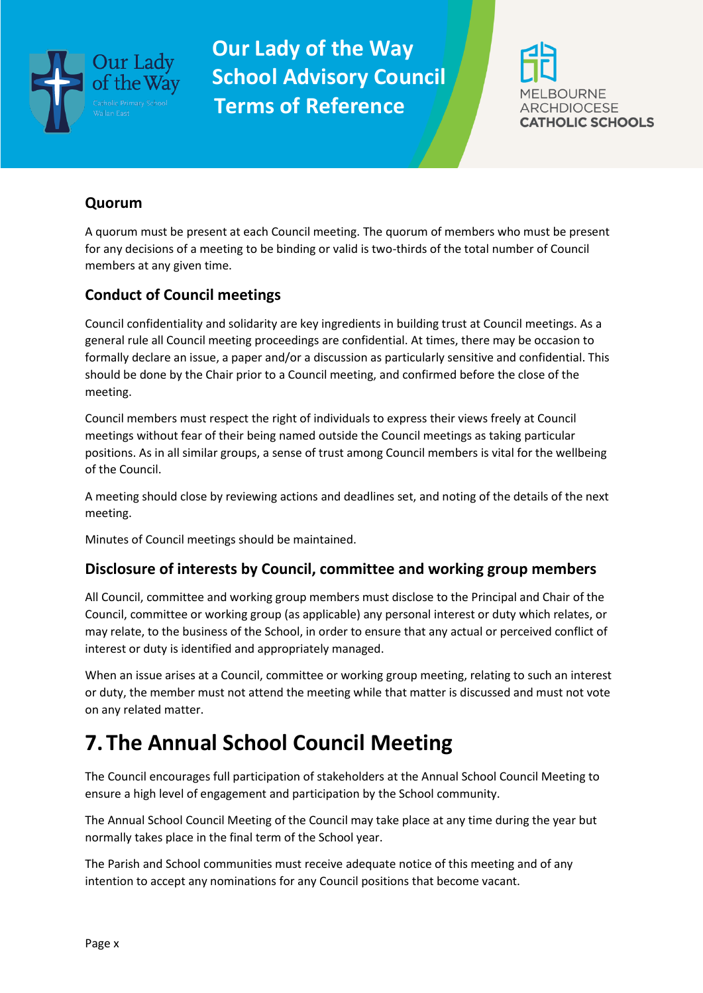



#### **Quorum**

A quorum must be present at each Council meeting. The quorum of members who must be present for any decisions of a meeting to be binding or valid is two-thirds of the total number of Council members at any given time.

#### **Conduct of Council meetings**

Council confidentiality and solidarity are key ingredients in building trust at Council meetings. As a general rule all Council meeting proceedings are confidential. At times, there may be occasion to formally declare an issue, a paper and/or a discussion as particularly sensitive and confidential. This should be done by the Chair prior to a Council meeting, and confirmed before the close of the meeting.

Council members must respect the right of individuals to express their views freely at Council meetings without fear of their being named outside the Council meetings as taking particular positions. As in all similar groups, a sense of trust among Council members is vital for the wellbeing of the Council.

A meeting should close by reviewing actions and deadlines set, and noting of the details of the next meeting.

Minutes of Council meetings should be maintained.

#### **Disclosure of interests by Council, committee and working group members**

All Council, committee and working group members must disclose to the Principal and Chair of the Council, committee or working group (as applicable) any personal interest or duty which relates, or may relate, to the business of the School, in order to ensure that any actual or perceived conflict of interest or duty is identified and appropriately managed.

When an issue arises at a Council, committee or working group meeting, relating to such an interest or duty, the member must not attend the meeting while that matter is discussed and must not vote on any related matter.

## **7.The Annual School Council Meeting**

The Council encourages full participation of stakeholders at the Annual School Council Meeting to ensure a high level of engagement and participation by the School community.

The Annual School Council Meeting of the Council may take place at any time during the year but normally takes place in the final term of the School year.

The Parish and School communities must receive adequate notice of this meeting and of any intention to accept any nominations for any Council positions that become vacant.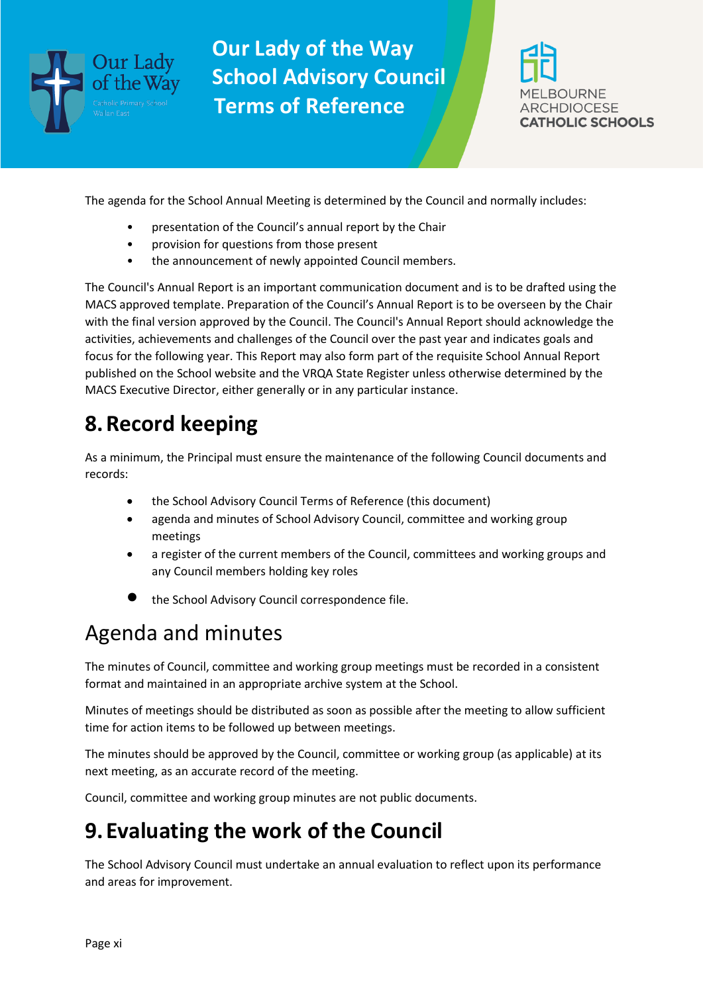



The agenda for the School Annual Meeting is determined by the Council and normally includes:

- presentation of the Council's annual report by the Chair
- provision for questions from those present
- the announcement of newly appointed Council members.

The Council's Annual Report is an important communication document and is to be drafted using the MACS approved template. Preparation of the Council's Annual Report is to be overseen by the Chair with the final version approved by the Council. The Council's Annual Report should acknowledge the activities, achievements and challenges of the Council over the past year and indicates goals and focus for the following year. This Report may also form part of the requisite School Annual Report published on the School website and the VRQA State Register unless otherwise determined by the MACS Executive Director, either generally or in any particular instance.

# **8.Record keeping**

As a minimum, the Principal must ensure the maintenance of the following Council documents and records:

- the School Advisory Council Terms of Reference (this document)
- agenda and minutes of School Advisory Council, committee and working group meetings
- a register of the current members of the Council, committees and working groups and any Council members holding key roles
- the School Advisory Council correspondence file.

## Agenda and minutes

The minutes of Council, committee and working group meetings must be recorded in a consistent format and maintained in an appropriate archive system at the School.

Minutes of meetings should be distributed as soon as possible after the meeting to allow sufficient time for action items to be followed up between meetings.

The minutes should be approved by the Council, committee or working group (as applicable) at its next meeting, as an accurate record of the meeting.

Council, committee and working group minutes are not public documents.

## **9. Evaluating the work of the Council**

The School Advisory Council must undertake an annual evaluation to reflect upon its performance and areas for improvement.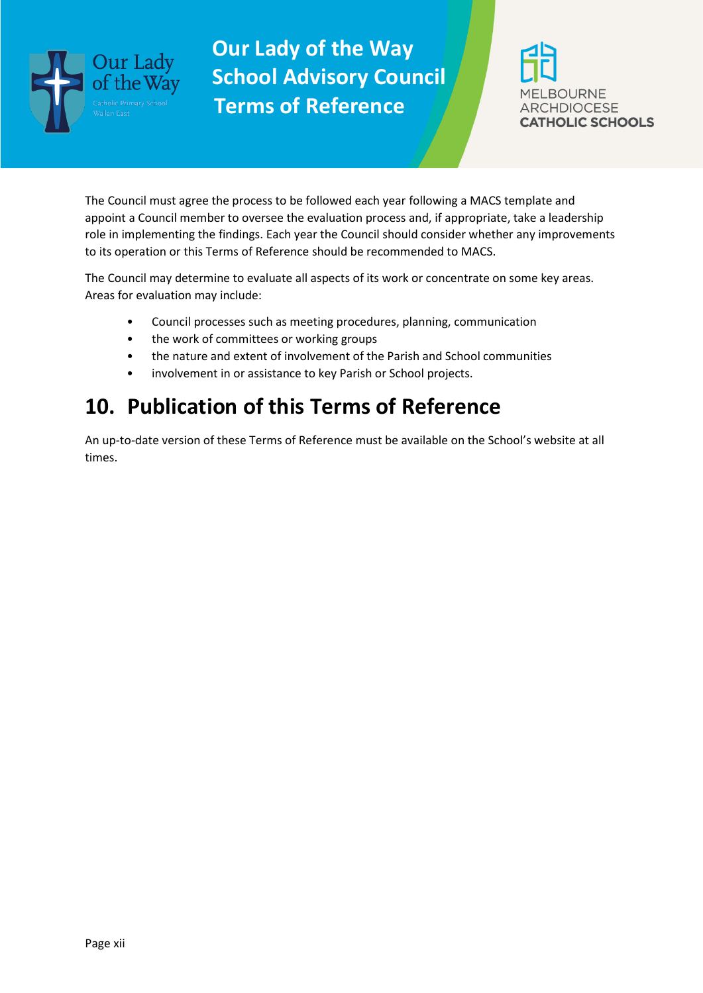



The Council must agree the process to be followed each year following a MACS template and appoint a Council member to oversee the evaluation process and, if appropriate, take a leadership role in implementing the findings. Each year the Council should consider whether any improvements to its operation or this Terms of Reference should be recommended to MACS.

The Council may determine to evaluate all aspects of its work or concentrate on some key areas. Areas for evaluation may include:

- Council processes such as meeting procedures, planning, communication
- the work of committees or working groups
- the nature and extent of involvement of the Parish and School communities
- involvement in or assistance to key Parish or School projects.

### **10. Publication of this Terms of Reference**

An up-to-date version of these Terms of Reference must be available on the School's website at all times.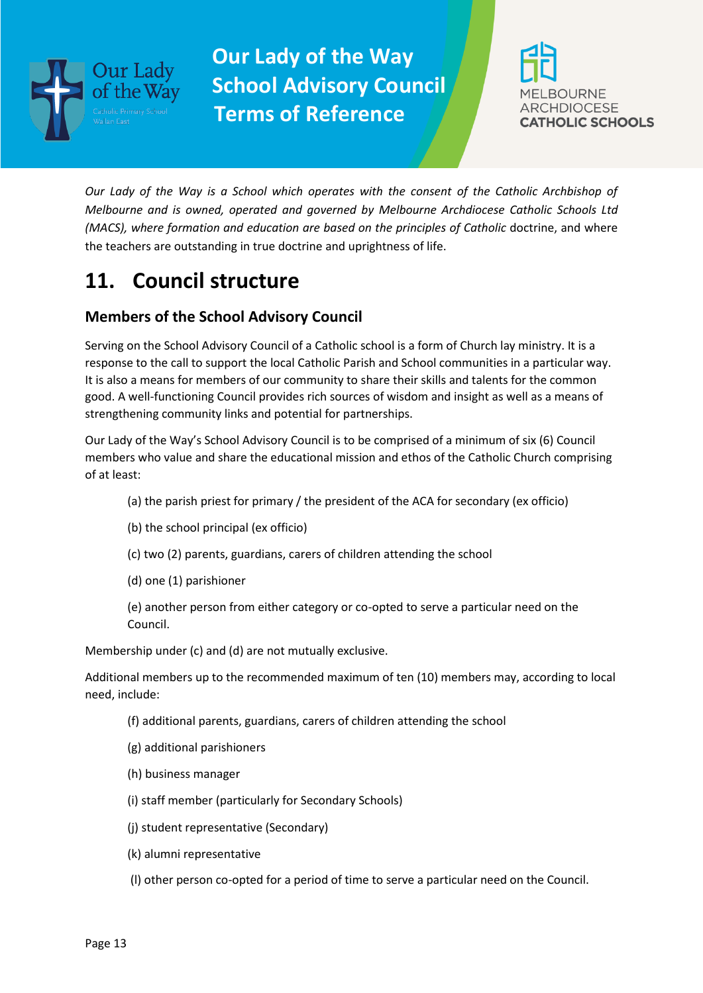



*Our Lady of the Way is a School which operates with the consent of the Catholic Archbishop of Melbourne and is owned, operated and governed by Melbourne Archdiocese Catholic Schools Ltd (MACS), where formation and education are based on the principles of Catholic* doctrine, and where the teachers are outstanding in true doctrine and uprightness of life.

### **11. Council structure**

### **Members of the School Advisory Council**

Serving on the School Advisory Council of a Catholic school is a form of Church lay ministry. It is a response to the call to support the local Catholic Parish and School communities in a particular way. It is also a means for members of our community to share their skills and talents for the common good. A well-functioning Council provides rich sources of wisdom and insight as well as a means of strengthening community links and potential for partnerships.

Our Lady of the Way's School Advisory Council is to be comprised of a minimum of six (6) Council members who value and share the educational mission and ethos of the Catholic Church comprising of at least:

- (a) the parish priest for primary / the president of the ACA for secondary (ex officio)
- (b) the school principal (ex officio)
- (c) two (2) parents, guardians, carers of children attending the school
- (d) one (1) parishioner

(e) another person from either category or co-opted to serve a particular need on the Council.

Membership under (c) and (d) are not mutually exclusive.

Additional members up to the recommended maximum of ten (10) members may, according to local need, include:

- (f) additional parents, guardians, carers of children attending the school
- (g) additional parishioners
- (h) business manager
- (i) staff member (particularly for Secondary Schools)
- (j) student representative (Secondary)
- (k) alumni representative
- (l) other person co-opted for a period of time to serve a particular need on the Council.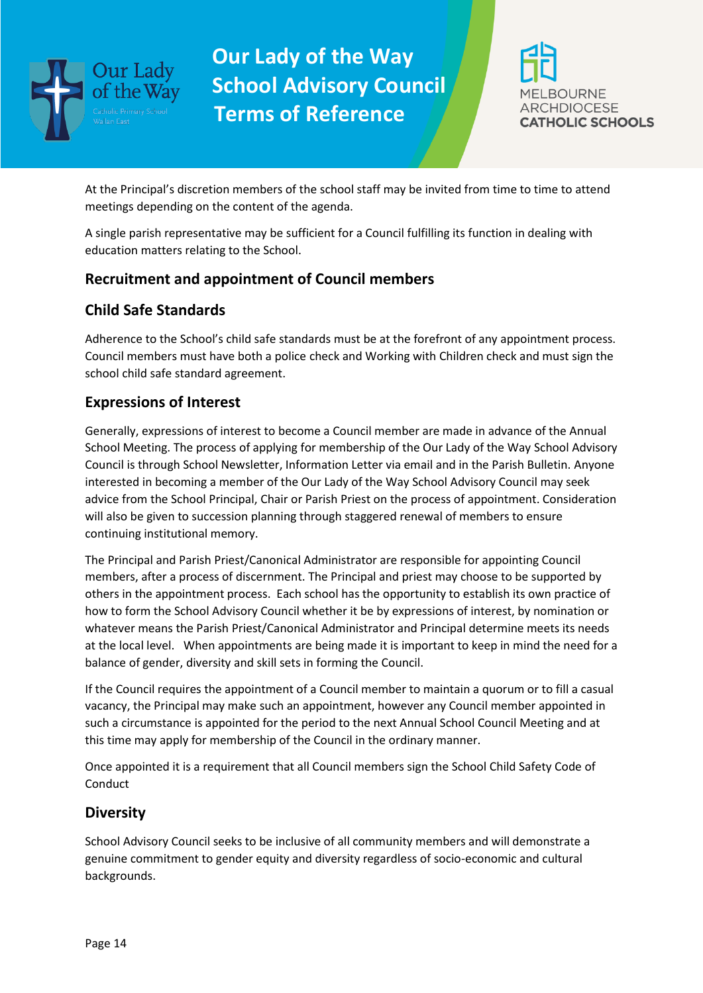



At the Principal's discretion members of the school staff may be invited from time to time to attend meetings depending on the content of the agenda.

A single parish representative may be sufficient for a Council fulfilling its function in dealing with education matters relating to the School.

#### **Recruitment and appointment of Council members**

### **Child Safe Standards**

Adherence to the School's child safe standards must be at the forefront of any appointment process. Council members must have both a police check and Working with Children check and must sign the school child safe standard agreement.

### **Expressions of Interest**

Generally, expressions of interest to become a Council member are made in advance of the Annual School Meeting. The process of applying for membership of the Our Lady of the Way School Advisory Council is through School Newsletter, Information Letter via email and in the Parish Bulletin. Anyone interested in becoming a member of the Our Lady of the Way School Advisory Council may seek advice from the School Principal, Chair or Parish Priest on the process of appointment. Consideration will also be given to succession planning through staggered renewal of members to ensure continuing institutional memory.

The Principal and Parish Priest/Canonical Administrator are responsible for appointing Council members, after a process of discernment. The Principal and priest may choose to be supported by others in the appointment process. Each school has the opportunity to establish its own practice of how to form the School Advisory Council whether it be by expressions of interest, by nomination or whatever means the Parish Priest/Canonical Administrator and Principal determine meets its needs at the local level. When appointments are being made it is important to keep in mind the need for a balance of gender, diversity and skill sets in forming the Council.

If the Council requires the appointment of a Council member to maintain a quorum or to fill a casual vacancy, the Principal may make such an appointment, however any Council member appointed in such a circumstance is appointed for the period to the next Annual School Council Meeting and at this time may apply for membership of the Council in the ordinary manner.

Once appointed it is a requirement that all Council members sign the School Child Safety Code of **Conduct** 

#### **Diversity**

School Advisory Council seeks to be inclusive of all community members and will demonstrate a genuine commitment to gender equity and diversity regardless of socio-economic and cultural backgrounds.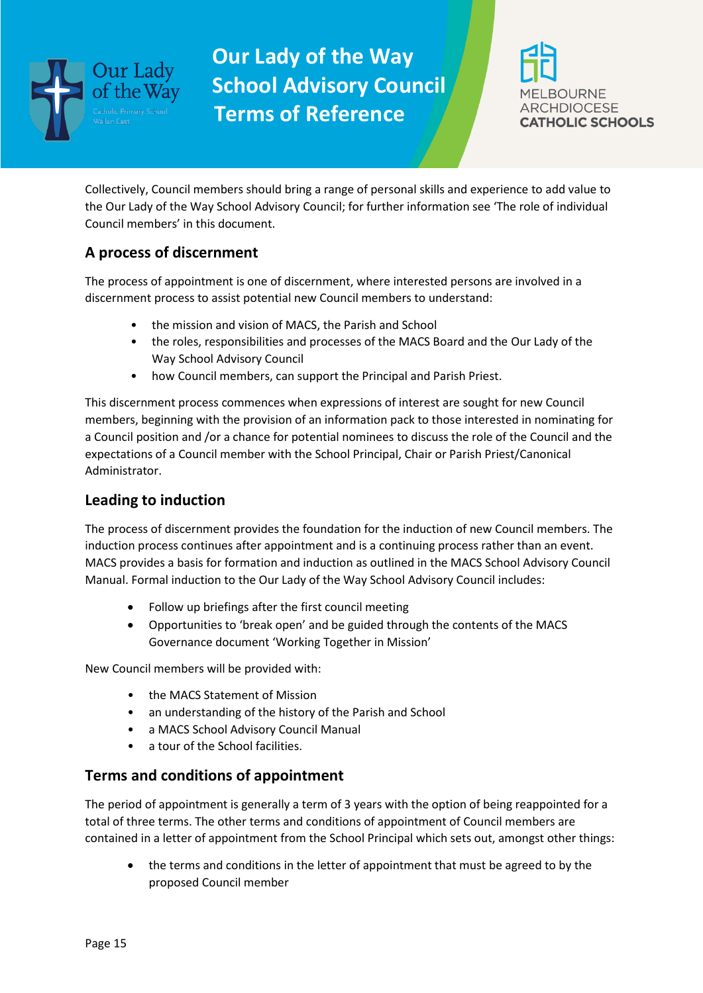



Collectively, Council members should bring a range of personal skills and experience to add value to the Our Lady of the Way School Advisory Council; for further information see 'The role of individual Council members' in this document.

### **A process of discernment**

The process of appointment is one of discernment, where interested persons are involved in a discernment process to assist potential new Council members to understand:

- the mission and vision of MACS, the Parish and School
- the roles, responsibilities and processes of the MACS Board and the Our Lady of the Way School Advisory Council
- how Council members, can support the Principal and Parish Priest.

This discernment process commences when expressions of interest are sought for new Council members, beginning with the provision of an information pack to those interested in nominating for a Council position and /or a chance for potential nominees to discuss the role of the Council and the expectations of a Council member with the School Principal, Chair or Parish Priest/Canonical Administrator.

#### **Leading to induction**

The process of discernment provides the foundation for the induction of new Council members. The induction process continues after appointment and is a continuing process rather than an event. MACS provides a basis for formation and induction as outlined in the MACS School Advisory Council Manual. Formal induction to the Our Lady of the Way School Advisory Council includes:

- Follow up briefings after the first council meeting
- Opportunities to 'break open' and be guided through the contents of the MACS Governance document 'Working Together in Mission'

New Council members will be provided with:

- the MACS Statement of Mission
- an understanding of the history of the Parish and School
- a MACS School Advisory Council Manual
- a tour of the School facilities.

#### **Terms and conditions of appointment**

The period of appointment is generally a term of 3 years with the option of being reappointed for a total of three terms. The other terms and conditions of appointment of Council members are contained in a letter of appointment from the School Principal which sets out, amongst other things:

• the terms and conditions in the letter of appointment that must be agreed to by the proposed Council member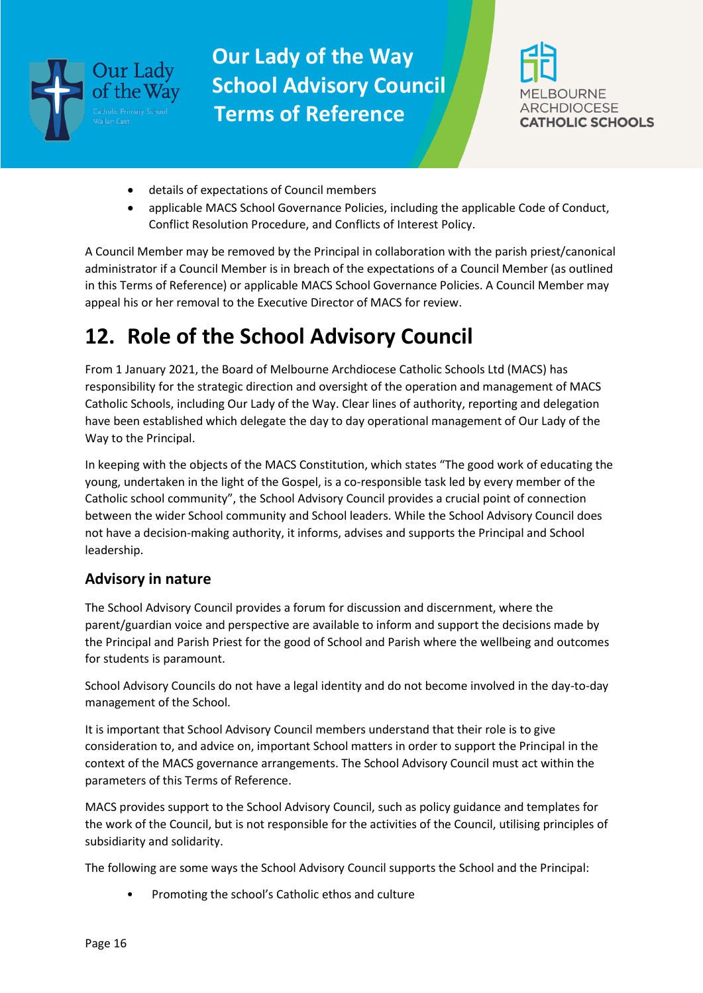



- details of expectations of Council members
- applicable MACS School Governance Policies, including the applicable Code of Conduct, Conflict Resolution Procedure, and Conflicts of Interest Policy.

A Council Member may be removed by the Principal in collaboration with the parish priest/canonical administrator if a Council Member is in breach of the expectations of a Council Member (as outlined in this Terms of Reference) or applicable MACS School Governance Policies. A Council Member may appeal his or her removal to the Executive Director of MACS for review.

## **12. Role of the School Advisory Council**

From 1 January 2021, the Board of Melbourne Archdiocese Catholic Schools Ltd (MACS) has responsibility for the strategic direction and oversight of the operation and management of MACS Catholic Schools, including Our Lady of the Way. Clear lines of authority, reporting and delegation have been established which delegate the day to day operational management of Our Lady of the Way to the Principal.

In keeping with the objects of the MACS Constitution, which states "The good work of educating the young, undertaken in the light of the Gospel, is a co-responsible task led by every member of the Catholic school community", the School Advisory Council provides a crucial point of connection between the wider School community and School leaders. While the School Advisory Council does not have a decision-making authority, it informs, advises and supports the Principal and School leadership.

#### **Advisory in nature**

The School Advisory Council provides a forum for discussion and discernment, where the parent/guardian voice and perspective are available to inform and support the decisions made by the Principal and Parish Priest for the good of School and Parish where the wellbeing and outcomes for students is paramount.

School Advisory Councils do not have a legal identity and do not become involved in the day-to-day management of the School.

It is important that School Advisory Council members understand that their role is to give consideration to, and advice on, important School matters in order to support the Principal in the context of the MACS governance arrangements. The School Advisory Council must act within the parameters of this Terms of Reference.

MACS provides support to the School Advisory Council, such as policy guidance and templates for the work of the Council, but is not responsible for the activities of the Council, utilising principles of subsidiarity and solidarity.

The following are some ways the School Advisory Council supports the School and the Principal:

• Promoting the school's Catholic ethos and culture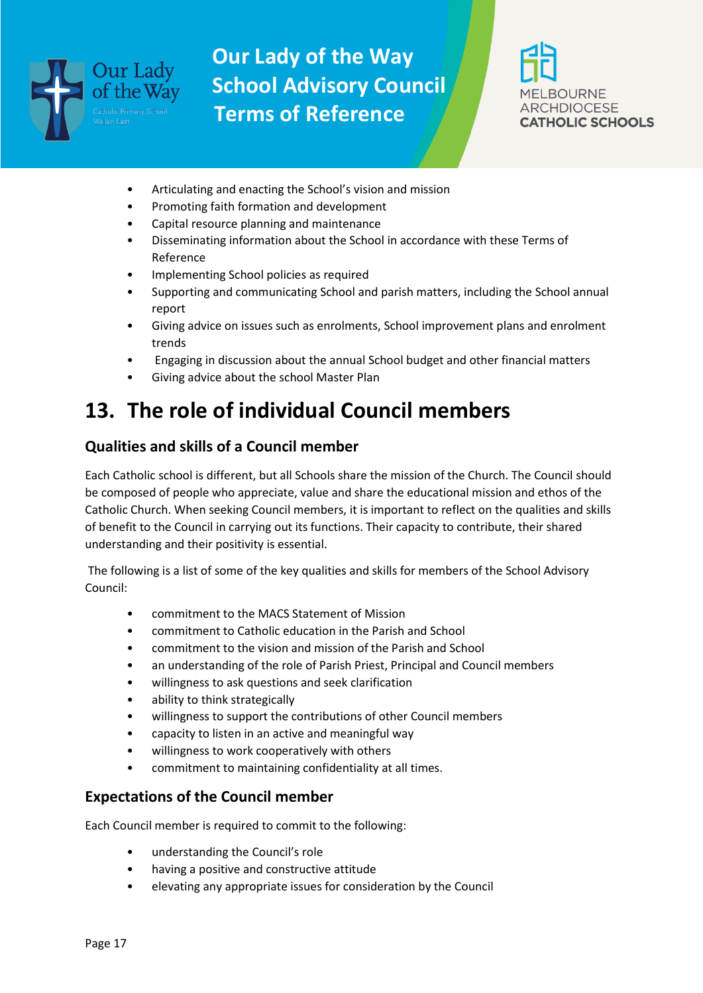



- Articulating and enacting the School's vision and mission
- Promoting faith formation and development
- Capital resource planning and maintenance
- Disseminating information about the School in accordance with these Terms of Reference
- Implementing School policies as required
- Supporting and communicating School and parish matters, including the School annual report
- Giving advice on issues such as enrolments, School improvement plans and enrolment trends
- Engaging in discussion about the annual School budget and other financial matters
- Giving advice about the school Master Plan

# **13. The role of individual Council members**

#### **Qualities and skills of a Council member**

Each Catholic school is different, but all Schools share the mission of the Church. The Council should be composed of people who appreciate, value and share the educational mission and ethos of the Catholic Church. When seeking Council members, it is important to reflect on the qualities and skills of benefit to the Council in carrying out its functions. Their capacity to contribute, their shared understanding and their positivity is essential.

The following is a list of some of the key qualities and skills for members of the School Advisory Council:

- commitment to the MACS Statement of Mission
- commitment to Catholic education in the Parish and School
- commitment to the vision and mission of the Parish and School
- an understanding of the role of Parish Priest, Principal and Council members
- willingness to ask questions and seek clarification
- ability to think strategically
- willingness to support the contributions of other Council members
- capacity to listen in an active and meaningful way
- willingness to work cooperatively with others
- commitment to maintaining confidentiality at all times.

#### **Expectations of the Council member**

Each Council member is required to commit to the following:

- understanding the Council's role
- having a positive and constructive attitude
- elevating any appropriate issues for consideration by the Council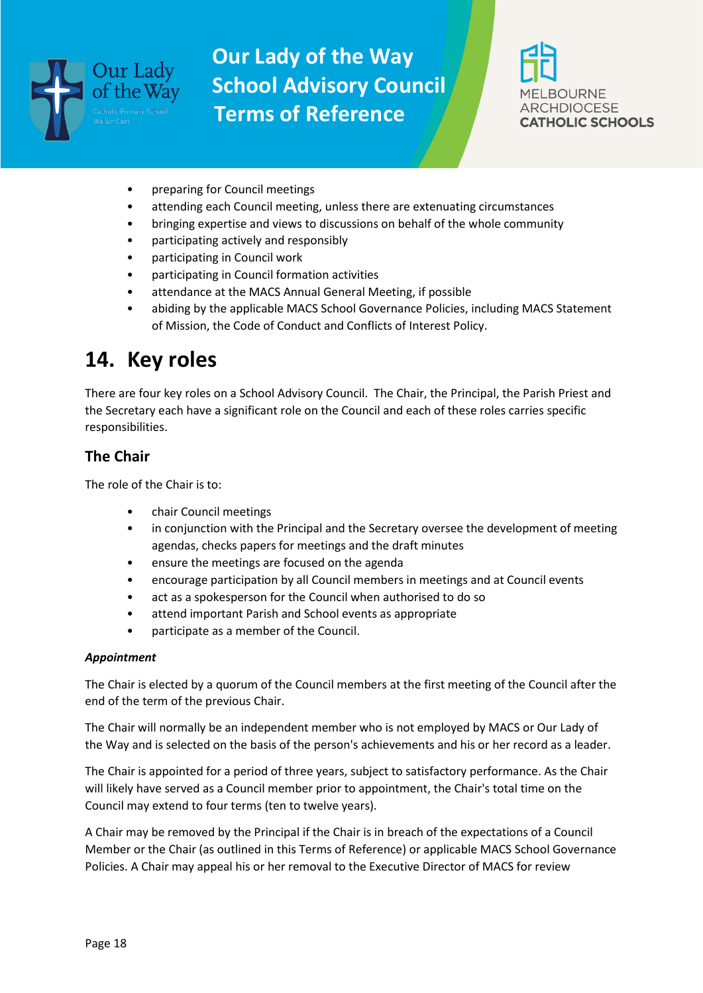

![](_page_17_Picture_2.jpeg)

- preparing for Council meetings
- attending each Council meeting, unless there are extenuating circumstances
- bringing expertise and views to discussions on behalf of the whole community
- participating actively and responsibly
- participating in Council work
- participating in Council formation activities
- attendance at the MACS Annual General Meeting, if possible
- abiding by the applicable MACS School Governance Policies, including MACS Statement of Mission, the Code of Conduct and Conflicts of Interest Policy.

### **14. Key roles**

There are four key roles on a School Advisory Council. The Chair, the Principal, the Parish Priest and the Secretary each have a significant role on the Council and each of these roles carries specific responsibilities.

#### **The Chair**

The role of the Chair is to:

- chair Council meetings
- in conjunction with the Principal and the Secretary oversee the development of meeting agendas, checks papers for meetings and the draft minutes
- ensure the meetings are focused on the agenda
- encourage participation by all Council members in meetings and at Council events
- act as a spokesperson for the Council when authorised to do so
- attend important Parish and School events as appropriate
- participate as a member of the Council.

#### *Appointment*

The Chair is elected by a quorum of the Council members at the first meeting of the Council after the end of the term of the previous Chair.

The Chair will normally be an independent member who is not employed by MACS or Our Lady of the Way and is selected on the basis of the person's achievements and his or her record as a leader.

The Chair is appointed for a period of three years, subject to satisfactory performance. As the Chair will likely have served as a Council member prior to appointment, the Chair's total time on the Council may extend to four terms (ten to twelve years).

A Chair may be removed by the Principal if the Chair is in breach of the expectations of a Council Member or the Chair (as outlined in this Terms of Reference) or applicable MACS School Governance Policies. A Chair may appeal his or her removal to the Executive Director of MACS for review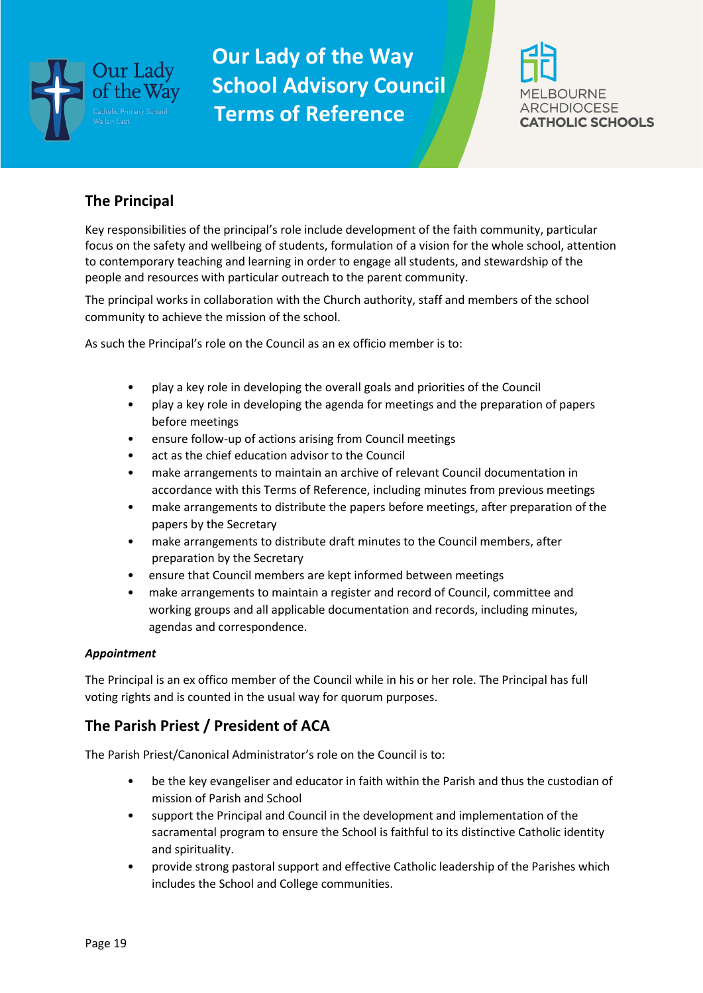![](_page_18_Picture_0.jpeg)

![](_page_18_Picture_2.jpeg)

#### **The Principal**

Key responsibilities of the principal's role include development of the faith community, particular focus on the safety and wellbeing of students, formulation of a vision for the whole school, attention to contemporary teaching and learning in order to engage all students, and stewardship of the people and resources with particular outreach to the parent community.

The principal works in collaboration with the Church authority, staff and members of the school community to achieve the mission of the school.

As such the Principal's role on the Council as an ex officio member is to:

- play a key role in developing the overall goals and priorities of the Council
- play a key role in developing the agenda for meetings and the preparation of papers before meetings
- ensure follow-up of actions arising from Council meetings
- act as the chief education advisor to the Council
- make arrangements to maintain an archive of relevant Council documentation in accordance with this Terms of Reference, including minutes from previous meetings
- make arrangements to distribute the papers before meetings, after preparation of the papers by the Secretary
- make arrangements to distribute draft minutes to the Council members, after preparation by the Secretary
- ensure that Council members are kept informed between meetings
- make arrangements to maintain a register and record of Council, committee and working groups and all applicable documentation and records, including minutes, agendas and correspondence.

#### *Appointment*

The Principal is an ex offico member of the Council while in his or her role. The Principal has full voting rights and is counted in the usual way for quorum purposes.

### **The Parish Priest / President of ACA**

The Parish Priest/Canonical Administrator's role on the Council is to:

- be the key evangeliser and educator in faith within the Parish and thus the custodian of mission of Parish and School
- support the Principal and Council in the development and implementation of the sacramental program to ensure the School is faithful to its distinctive Catholic identity and spirituality.
- provide strong pastoral support and effective Catholic leadership of the Parishes which includes the School and College communities.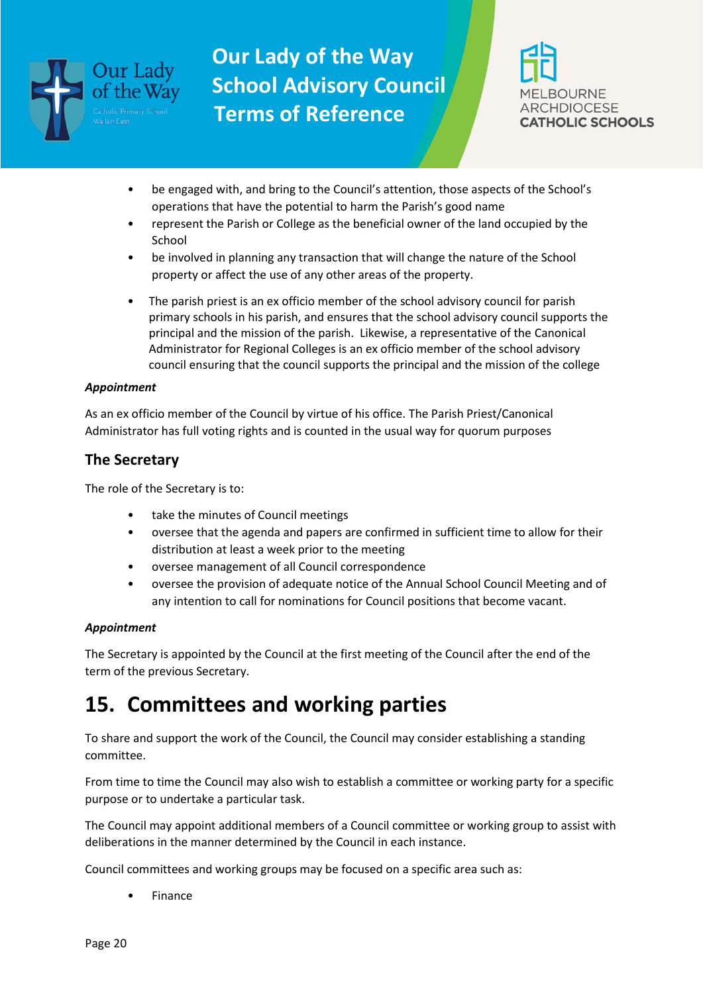![](_page_19_Picture_0.jpeg)

![](_page_19_Picture_2.jpeg)

- be engaged with, and bring to the Council's attention, those aspects of the School's operations that have the potential to harm the Parish's good name
- represent the Parish or College as the beneficial owner of the land occupied by the **School**
- be involved in planning any transaction that will change the nature of the School property or affect the use of any other areas of the property.
- The parish priest is an ex officio member of the school advisory council for parish primary schools in his parish, and ensures that the school advisory council supports the principal and the mission of the parish. Likewise, a representative of the Canonical Administrator for Regional Colleges is an ex officio member of the school advisory council ensuring that the council supports the principal and the mission of the college

#### *Appointment*

As an ex officio member of the Council by virtue of his office. The Parish Priest/Canonical Administrator has full voting rights and is counted in the usual way for quorum purposes

#### **The Secretary**

The role of the Secretary is to:

- take the minutes of Council meetings
- oversee that the agenda and papers are confirmed in sufficient time to allow for their distribution at least a week prior to the meeting
- oversee management of all Council correspondence
- oversee the provision of adequate notice of the Annual School Council Meeting and of any intention to call for nominations for Council positions that become vacant.

#### *Appointment*

The Secretary is appointed by the Council at the first meeting of the Council after the end of the term of the previous Secretary.

### **15. Committees and working parties**

To share and support the work of the Council, the Council may consider establishing a standing committee.

From time to time the Council may also wish to establish a committee or working party for a specific purpose or to undertake a particular task.

The Council may appoint additional members of a Council committee or working group to assist with deliberations in the manner determined by the Council in each instance.

Council committees and working groups may be focused on a specific area such as:

• Finance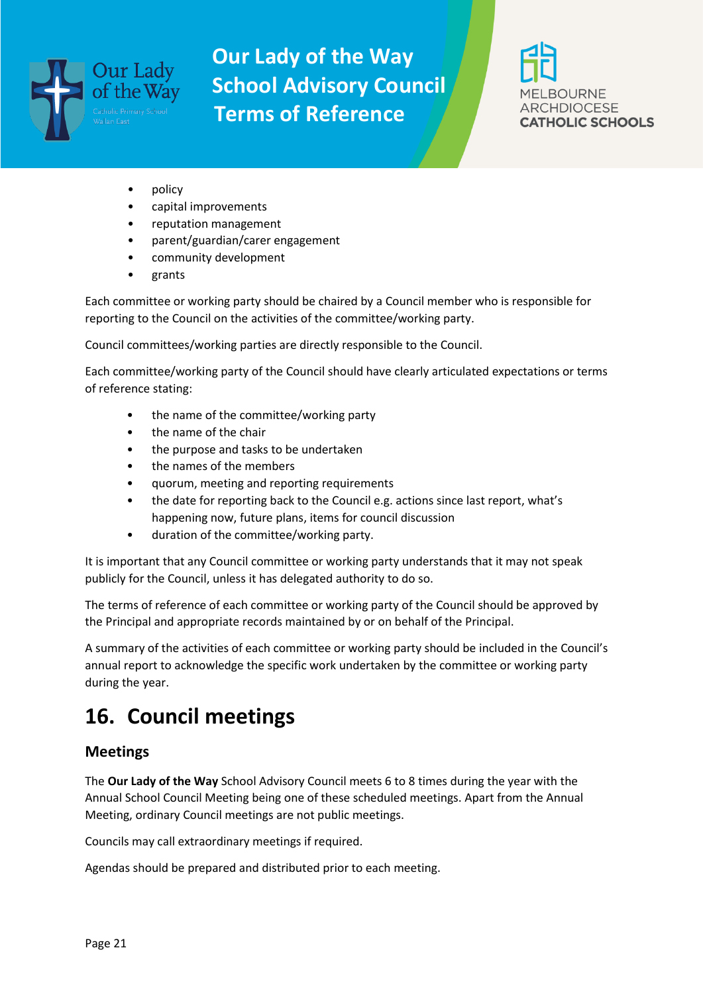![](_page_20_Picture_0.jpeg)

![](_page_20_Picture_2.jpeg)

- policy
- capital improvements
- reputation management
- parent/guardian/carer engagement
- community development
- grants

Each committee or working party should be chaired by a Council member who is responsible for reporting to the Council on the activities of the committee/working party.

Council committees/working parties are directly responsible to the Council.

Each committee/working party of the Council should have clearly articulated expectations or terms of reference stating:

- the name of the committee/working party
- the name of the chair
- the purpose and tasks to be undertaken
- the names of the members
- quorum, meeting and reporting requirements
- the date for reporting back to the Council e.g. actions since last report, what's happening now, future plans, items for council discussion
- duration of the committee/working party.

It is important that any Council committee or working party understands that it may not speak publicly for the Council, unless it has delegated authority to do so.

The terms of reference of each committee or working party of the Council should be approved by the Principal and appropriate records maintained by or on behalf of the Principal.

A summary of the activities of each committee or working party should be included in the Council's annual report to acknowledge the specific work undertaken by the committee or working party during the year.

### **16. Council meetings**

#### **Meetings**

The **Our Lady of the Way** School Advisory Council meets 6 to 8 times during the year with the Annual School Council Meeting being one of these scheduled meetings. Apart from the Annual Meeting, ordinary Council meetings are not public meetings.

Councils may call extraordinary meetings if required.

Agendas should be prepared and distributed prior to each meeting.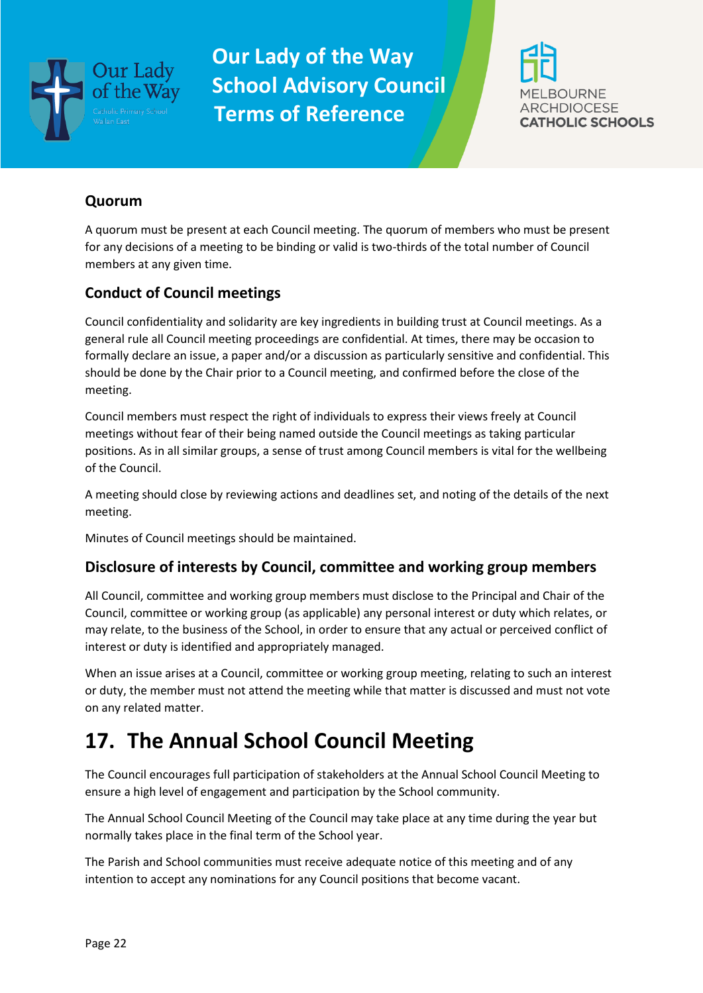![](_page_21_Picture_0.jpeg)

![](_page_21_Picture_2.jpeg)

#### **Quorum**

A quorum must be present at each Council meeting. The quorum of members who must be present for any decisions of a meeting to be binding or valid is two-thirds of the total number of Council members at any given time.

### **Conduct of Council meetings**

Council confidentiality and solidarity are key ingredients in building trust at Council meetings. As a general rule all Council meeting proceedings are confidential. At times, there may be occasion to formally declare an issue, a paper and/or a discussion as particularly sensitive and confidential. This should be done by the Chair prior to a Council meeting, and confirmed before the close of the meeting.

Council members must respect the right of individuals to express their views freely at Council meetings without fear of their being named outside the Council meetings as taking particular positions. As in all similar groups, a sense of trust among Council members is vital for the wellbeing of the Council.

A meeting should close by reviewing actions and deadlines set, and noting of the details of the next meeting.

Minutes of Council meetings should be maintained.

#### **Disclosure of interests by Council, committee and working group members**

All Council, committee and working group members must disclose to the Principal and Chair of the Council, committee or working group (as applicable) any personal interest or duty which relates, or may relate, to the business of the School, in order to ensure that any actual or perceived conflict of interest or duty is identified and appropriately managed.

When an issue arises at a Council, committee or working group meeting, relating to such an interest or duty, the member must not attend the meeting while that matter is discussed and must not vote on any related matter.

# **17. The Annual School Council Meeting**

The Council encourages full participation of stakeholders at the Annual School Council Meeting to ensure a high level of engagement and participation by the School community.

The Annual School Council Meeting of the Council may take place at any time during the year but normally takes place in the final term of the School year.

The Parish and School communities must receive adequate notice of this meeting and of any intention to accept any nominations for any Council positions that become vacant.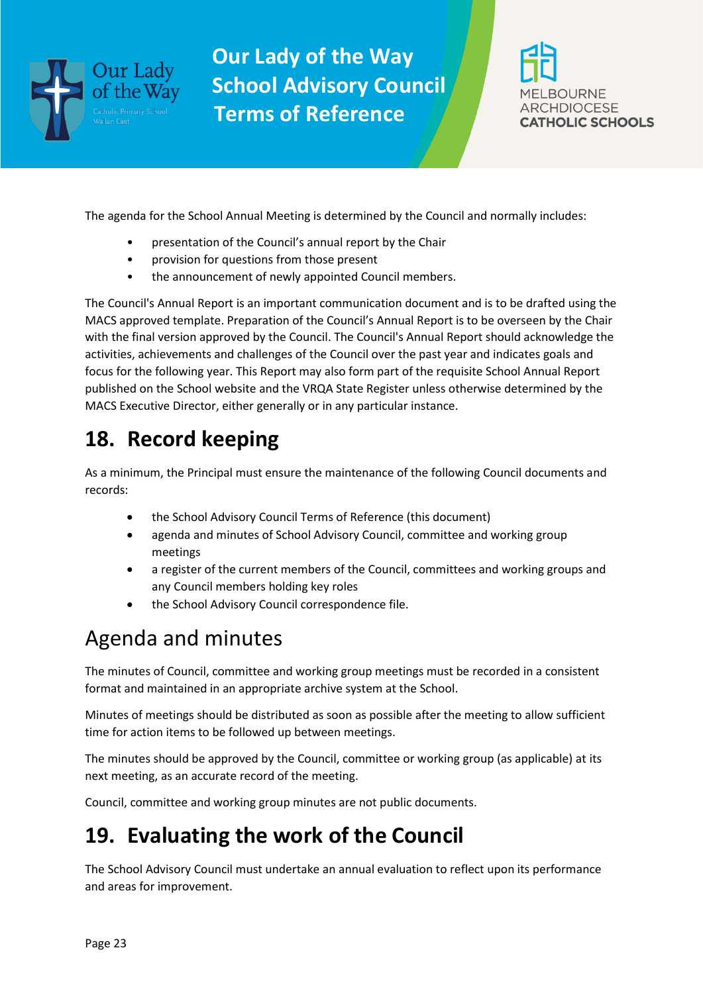![](_page_22_Picture_0.jpeg)

![](_page_22_Picture_2.jpeg)

The agenda for the School Annual Meeting is determined by the Council and normally includes:

- presentation of the Council's annual report by the Chair
- provision for questions from those present
- the announcement of newly appointed Council members.

The Council's Annual Report is an important communication document and is to be drafted using the MACS approved template. Preparation of the Council's Annual Report is to be overseen by the Chair with the final version approved by the Council. The Council's Annual Report should acknowledge the activities, achievements and challenges of the Council over the past year and indicates goals and focus for the following year. This Report may also form part of the requisite School Annual Report published on the School website and the VRQA State Register unless otherwise determined by the MACS Executive Director, either generally or in any particular instance.

## **18. Record keeping**

As a minimum, the Principal must ensure the maintenance of the following Council documents and records:

- the School Advisory Council Terms of Reference (this document)
- agenda and minutes of School Advisory Council, committee and working group meetings
- a register of the current members of the Council, committees and working groups and any Council members holding key roles
- the School Advisory Council correspondence file.

## Agenda and minutes

The minutes of Council, committee and working group meetings must be recorded in a consistent format and maintained in an appropriate archive system at the School.

Minutes of meetings should be distributed as soon as possible after the meeting to allow sufficient time for action items to be followed up between meetings.

The minutes should be approved by the Council, committee or working group (as applicable) at its next meeting, as an accurate record of the meeting.

Council, committee and working group minutes are not public documents.

## **19. Evaluating the work of the Council**

The School Advisory Council must undertake an annual evaluation to reflect upon its performance and areas for improvement.